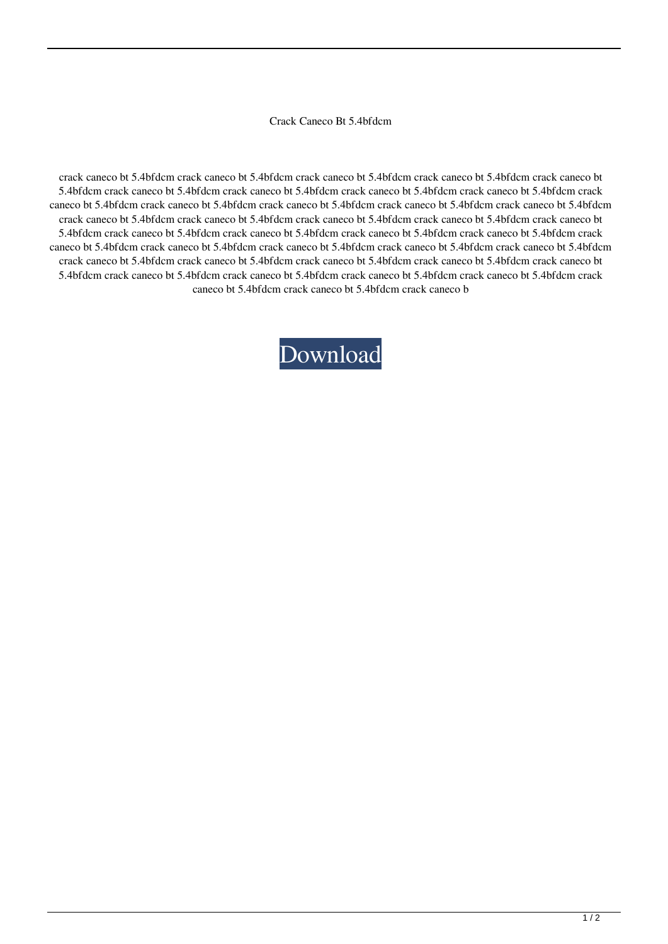## Crack Caneco Bt 5.4bfdcm

crack caneco bt 5.4bfdcm crack caneco bt 5.4bfdcm crack caneco bt 5.4bfdcm crack caneco bt 5.4bfdcm crack caneco bt 5.4bfdcm crack caneco bt 5.4bfdcm crack caneco bt 5.4bfdcm crack caneco bt 5.4bfdcm crack caneco bt 5.4bfdcm crack caneco bt 5.4bfdcm crack caneco bt 5.4bfdcm crack caneco bt 5.4bfdcm crack caneco bt 5.4bfdcm crack caneco bt 5.4bfdcm crack caneco bt 5.4bfdcm crack caneco bt 5.4bfdcm crack caneco bt 5.4bfdcm crack caneco bt 5.4bfdcm crack caneco bt 5.4bfdcm crack caneco bt 5.4bfdcm crack caneco bt 5.4bfdcm crack caneco bt 5.4bfdcm crack caneco bt 5.4bfdcm crack caneco bt 5.4bfdcm crack caneco bt 5.4bfdcm crack caneco bt 5.4bfdcm crack caneco bt 5.4bfdcm crack caneco bt 5.4bfdcm crack caneco bt 5.4bfdcm crack caneco bt 5.4bfdcm crack caneco bt 5.4bfdcm crack caneco bt 5.4bfdcm crack caneco bt 5.4bfdcm crack caneco bt 5.4bfdcm crack caneco bt 5.4bfdcm crack caneco bt 5.4bfdcm crack caneco bt 5.4bfdcm crack caneco bt 5.4bfdcm crack caneco bt 5.4bfdcm crack caneco b